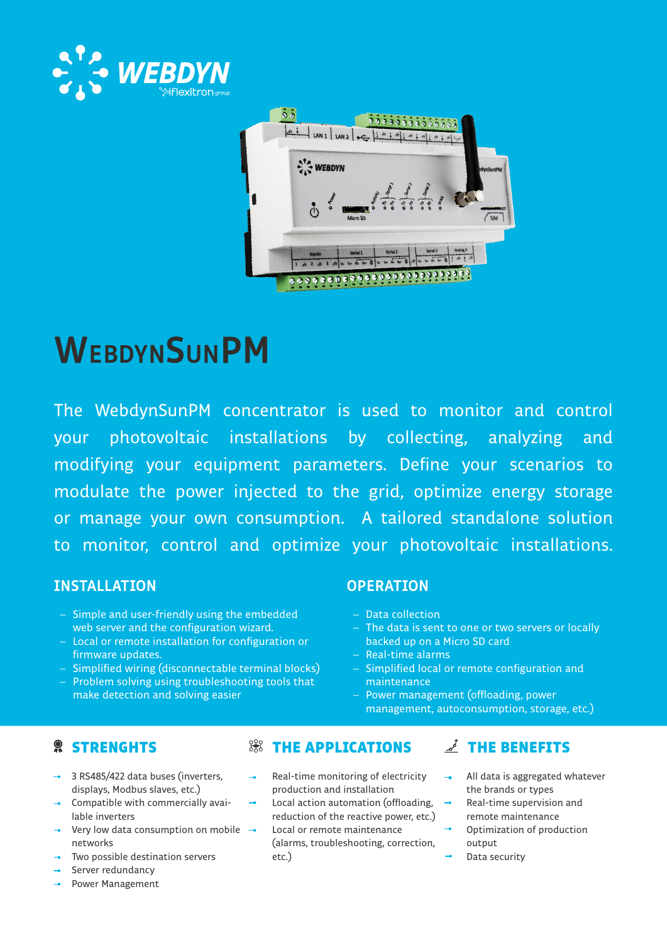



# **WEBDYNSUNPM**

The WebdynSunPM concentrator is used to monitor and control your photovoltaic installations by collecting, analyzing and modifying your equipment parameters. Define your scenarios to modulate the power injected to the grid, optimize energy storage or manage your own consumption. A tailored standalone solution to monitor, control and optimize your photovoltaic installations.

### **INSTALLATION**

- Simple and user-friendly using the embedded web server and the configuration wizard.
- Local or remote installation for configuration or firmware updates.
- Simplified wiring (disconnectable terminal blocks)
- Problem solving using troubleshooting tools that

# make detection and solving easier

#### **OPERATION**

- Data collection
- The data is sent to one or two servers or locally backed up on a Micro SD card
- Real-time alarms
- Simplified local or remote configuration and maintenance
- Power management (offloading, power management, autoconsumption, storage, etc.)

## **STRENGHTS**

- 3 RS485/422 data buses (inverters, displays, Modbus slaves, etc.)
- Compatible with commercially available inverters
- Very low data consumption on mobile  $\rightarrow$ networks
- Two possible destination servers
- Server redundancy
- Power Management

#### **SEE THE APPLICATIONS**

- Real-time monitoring of electricity production and installation
- Local action automation (offloading, reduction of the reactive power, etc.) Local or remote maintenance (alarms, troubleshooting, correction, etc.)

## **S** THE BENEFITS

- All data is aggregated whatever the brands or types
- Real-time supervision and remote maintenance
- Optimization of production output
- Data security